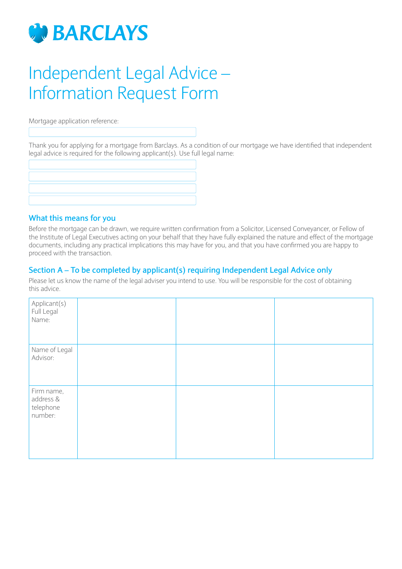

# Independent Legal Advice – Information Request Form

Mortgage application reference:

Thank you for applying for a mortgage from Barclays. As a condition of our mortgage we have identified that independent  $\alpha$  legal advice is required for the following applicant(s). Use full legal name:

#### **What this means for you**

Before the mortgage can be drawn, we require written confirmation from a Solicitor, Licensed Conveyancer, or Fellow of the Institute of Legal Executives acting on your behalf that they have fully explained the nature and effect of the mortgage documents, including any practical implications this may have for you, and that you have confirmed you are happy to proceed with the transaction.

# **Section A – To be completed by applicant(s) requiring Independent Legal Advice only**

Please let us know the name of the legal adviser you intend to use. You will be responsible for the cost of obtaining this advice.

| Applicant(s)<br>Full Legal<br>Name: |  |  |
|-------------------------------------|--|--|
| Name of Legal                       |  |  |
| Advisor:                            |  |  |
|                                     |  |  |
|                                     |  |  |
|                                     |  |  |
| Firm name,<br>address &             |  |  |
| telephone                           |  |  |
| number:                             |  |  |
|                                     |  |  |
|                                     |  |  |
|                                     |  |  |
|                                     |  |  |
|                                     |  |  |